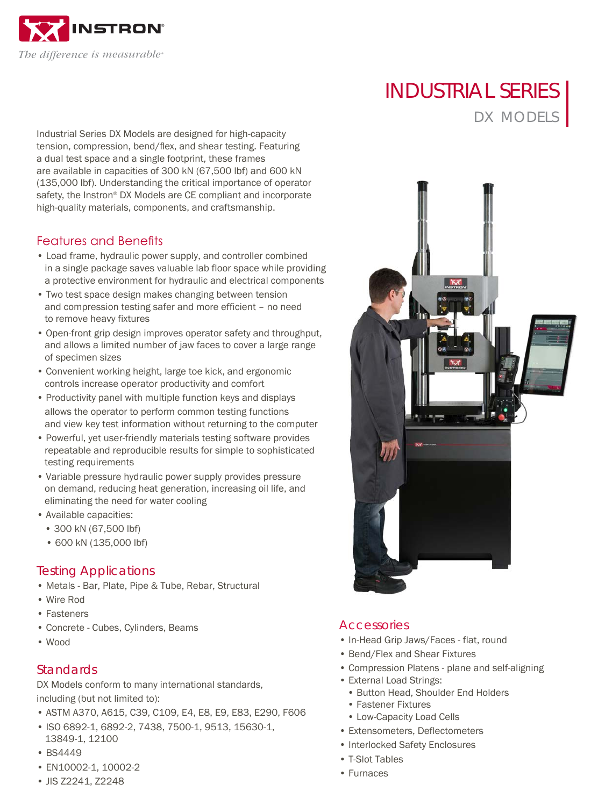

INDUSTRIAL SERIES DX MODELS

Industrial Series DX Models are designed for high-capacity tension, compression, bend/flex, and shear testing. Featuring a dual test space and a single footprint, these frames are available in capacities of 300 kN (67,500 lbf) and 600 kN (135,000 lbf). Understanding the critical importance of operator safety, the Instron® DX Models are CE compliant and incorporate high-quality materials, components, and craftsmanship.

## Features and Benefits

- Load frame, hydraulic power supply, and controller combined in a single package saves valuable lab floor space while providing a protective environment for hydraulic and electrical components
- Two test space design makes changing between tension and compression testing safer and more efficient – no need to remove heavy fixtures
- Open-front grip design improves operator safety and throughput, and allows a limited number of jaw faces to cover a large range of specimen sizes
- Convenient working height, large toe kick, and ergonomic controls increase operator productivity and comfort
- Productivity panel with multiple function keys and displays allows the operator to perform common testing functions and view key test information without returning to the computer
- Powerful, yet user-friendly materials testing software provides repeatable and reproducible results for simple to sophisticated testing requirements
- Variable pressure hydraulic power supply provides pressure on demand, reducing heat generation, increasing oil life, and eliminating the need for water cooling
- Available capacities:
	- 300 kN (67,500 lbf)
	- 600 kN (135,000 lbf)

#### Testing Applications

- Metals Bar, Plate, Pipe & Tube, Rebar, Structural
- Wire Rod
- Fasteners
- Concrete Cubes, Cylinders, Beams
- Wood

### **Standards**

DX Models conform to many international standards, including (but not limited to):

- ASTM A370, A615, C39, C109, E4, E8, E9, E83, E290, F606
- ISO 6892-1, 6892-2, 7438, 7500-1, 9513, 15630-1,
- 13849-1, 12100
- BS4449
- EN10002-1, 10002-2
- JIS Z2241, Z2248



#### **Accessories**

- In-Head Grip Jaws/Faces flat, round
- Bend/Flex and Shear Fixtures
- Compression Platens plane and self-aligning
- External Load Strings:
	- Button Head, Shoulder End Holders
	- Fastener Fixtures
	- Low-Capacity Load Cells
- Extensometers, Deflectometers
- Interlocked Safety Enclosures
- T-Slot Tables
- Furnaces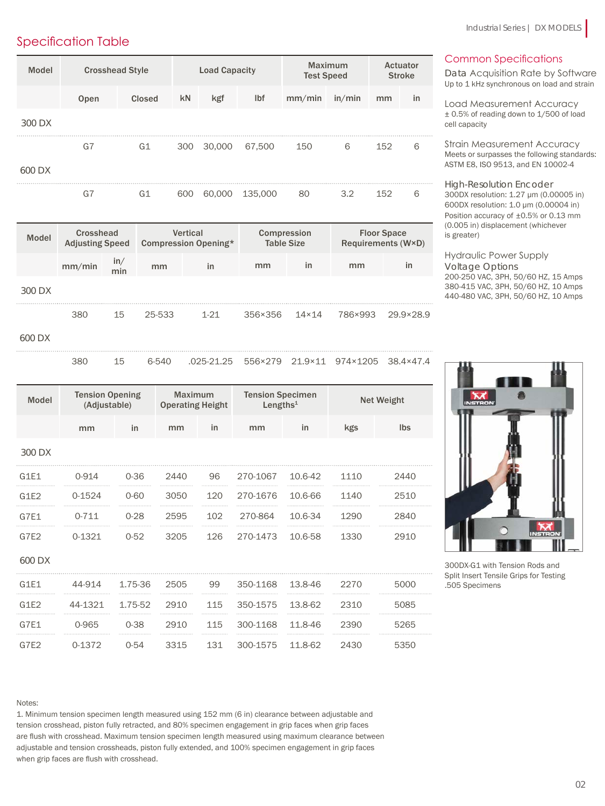## Specification Table

| Model  | <b>Crosshead Style</b> |        | <b>Load Capacity</b> |        |         | <b>Maximum</b><br><b>Test Speed</b> |        | Actuator<br><b>Stroke</b> |    |
|--------|------------------------|--------|----------------------|--------|---------|-------------------------------------|--------|---------------------------|----|
|        | Open                   | Closed | kN                   | kgf    | lbf     | mm/min                              | in/min | mm                        | in |
| 300 DX |                        |        |                      |        |         |                                     |        |                           |    |
|        | G7                     | G1     | 300                  | 30,000 | 67,500  | 150                                 | 6      | 152                       | 6  |
| 600 DX |                        |        |                      |        |         |                                     |        |                           |    |
|        | G7                     | G1     | 600                  | 60,000 | 135,000 | 80                                  | 3.2    | 152                       | 6  |

| Model  | Crosshead<br><b>Adjusting Speed</b> |            | <b>Vertical</b><br>Compression Opening* |          | Compression<br><b>Table Size</b> |              | <b>Floor Space</b><br>Requirements (W×D) |           |
|--------|-------------------------------------|------------|-----------------------------------------|----------|----------------------------------|--------------|------------------------------------------|-----------|
|        | mm/min                              | in/<br>min | mm                                      | in       | mm                               | in           | mm                                       | in        |
| 300 DX |                                     |            |                                         |          |                                  |              |                                          |           |
|        | 380                                 | 15         | 25-533                                  | $1 - 21$ | 356×356                          | $14\times14$ | 786×993                                  | 29.9×28.9 |
| 600 DX |                                     |            |                                         |          |                                  |              |                                          |           |

380 15 6-540 .025-21.25 556×279 21.9×11 974×1205 38.4×47.4

| <b>Model</b> | <b>Tension Opening</b><br>(Adjustable) |          | Maximum<br><b>Operating Height</b> |     | <b>Tension Specimen</b><br>Lengths $1$ |         | <b>Net Weight</b> |            |
|--------------|----------------------------------------|----------|------------------------------------|-----|----------------------------------------|---------|-------------------|------------|
|              | mm                                     | in       | mm                                 | in  | mm                                     | in      | kgs               | <b>lbs</b> |
| 300 DX       |                                        |          |                                    |     |                                        |         |                   |            |
| G1E1         | $0 - 914$                              | $0 - 36$ | 2440                               | 96  | 270-1067                               | 10.6-42 | 1110              | 2440       |
| G1E2         | $0 - 1524$                             | $0 - 60$ | 3050                               | 120 | 270-1676                               | 10.6-66 | 1140              | 2510       |
| G7E1         | $0 - 711$                              | $0 - 28$ | 2595                               | 102 | 270-864                                | 10.6-34 | 1290              | 2840       |
| G7E2         | 0-1321                                 | $0 - 52$ | 3205                               | 126 | 270-1473                               | 10.6-58 | 1330              | 2910       |
| 600 DX       |                                        |          |                                    |     |                                        |         |                   |            |
| G1E1         | 44-914                                 | 1.75-36  | 2505                               | 99  | 350-1168                               | 13.8-46 | 2270              | 5000       |
| G1E2         | 44-1321                                | 1.75-52  | 2910                               | 115 | 350-1575                               | 13.8-62 | 2310              | 5085       |
| G7E1         | 0-965                                  | $0 - 38$ | 2910                               | 115 | 300-1168                               | 11.8-46 | 2390              | 5265       |
| G7E2         | 0-1372                                 | $0 - 54$ | 3315                               | 131 | 300-1575                               | 11.8-62 | 2430              | 5350       |

Common Specifications

Data Acquisition Rate by Software Up to 1 kHz synchronous on load and strain

Load Measurement Accuracy ± 0.5% of reading down to 1/500 of load cell capacity

Strain Measurement Accuracy Meets or surpasses the following standards: ASTM E8, ISO 9513, and EN 10002-4

High-Resolution Encoder 300DX resolution: 1.27 μm (0.00005 in) 600DX resolution: 1.0 μm (0.00004 in) Position accuracy of ±0.5% or 0.13 mm (0.005 in) displacement (whichever is greater)

Hydraulic Power Supply Voltage Options 200-250 VAC, 3PH, 50/60 HZ, 15 Amps 380-415 VAC, 3PH, 50/60 HZ, 10 Amps 440-480 VAC, 3PH, 50/60 HZ, 10 Amps



300DX-G1 with Tension Rods and Split Insert Tensile Grips for Testing .505 Specimens

Notes:

1. Minimum tension specimen length measured using 152 mm (6 in) clearance between adjustable and tension crosshead, piston fully retracted, and 80% specimen engagement in grip faces when grip faces are flush with crosshead. Maximum tension specimen length measured using maximum clearance between adjustable and tension crossheads, piston fully extended, and 100% specimen engagement in grip faces when grip faces are flush with crosshead.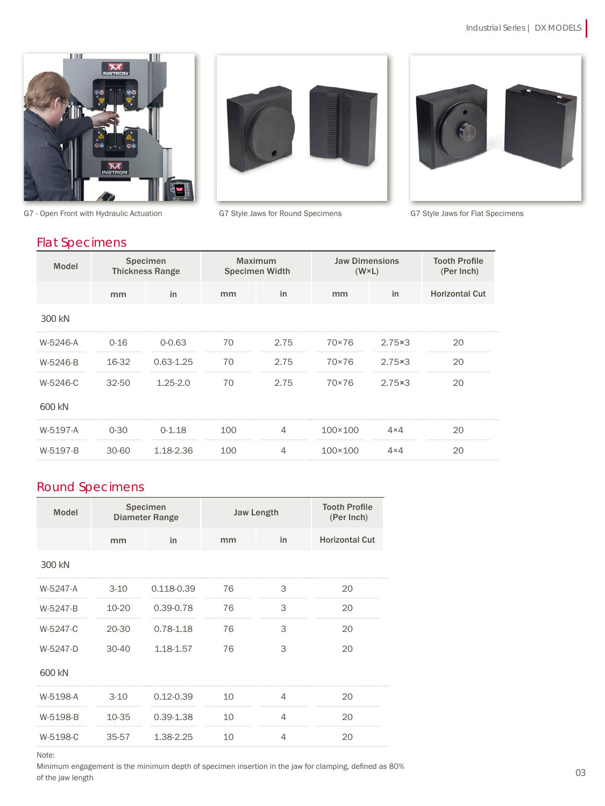



G7 - Open Front with Hydraulic Actuation G7 Style Jaws for Round Specimens G7 Style Jaws for Flat Specimens



## Flat Specimens

| <b>Model</b> | Specimen<br><b>Thickness Range</b> |               | Maximum<br><b>Specimen Width</b> |      | <b>Jaw Dimensions</b><br>$(W \times L)$ |              | <b>Tooth Profile</b><br>(Per Inch) |
|--------------|------------------------------------|---------------|----------------------------------|------|-----------------------------------------|--------------|------------------------------------|
|              | mm                                 | in            | mm                               | in   | mm                                      | in           | <b>Horizontal Cut</b>              |
| 300 kN       |                                    |               |                                  |      |                                         |              |                                    |
| W-5246-A     | $0 - 16$                           | $0 - 0.63$    | 70                               | 2.75 | 70×76                                   | 2.75×3       | 20                                 |
| W-5246-B     | 16-32                              | $0.63 - 1.25$ | 70                               | 2.75 | 70×76                                   | 2.75×3       | 20                                 |
| W-5246-C     | $32 - 50$                          | $1.25 - 2.0$  | 70                               | 2.75 | 70×76                                   | 2.75×3       | 20                                 |
| 600 kN       |                                    |               |                                  |      |                                         |              |                                    |
| W-5197-A     | $0 - 30$                           | $0 - 1.18$    | 100                              | 4    | $100 \times 100$                        | $4 \times 4$ | 20                                 |
| W-5197-B     | $30 - 60$                          | 1.18-2.36     | 100                              | 4    | $100 \times 100$                        | $4 \times 4$ | 20                                 |

## Round Specimens

| <b>Model</b> | Specimen<br><b>Diameter Range</b> |               |    | <b>Jaw Length</b> | <b>Tooth Profile</b><br>(Per Inch) |
|--------------|-----------------------------------|---------------|----|-------------------|------------------------------------|
|              | mm                                | in            | mm | in                | <b>Horizontal Cut</b>              |
| 300 kN       |                                   |               |    |                   |                                    |
| W-5247-A     | $3 - 10$                          | 0.118-0.39    | 76 | 3                 | 20                                 |
| W-5247-B     | 10-20                             | 0.39-0.78     | 76 | 3                 | 20                                 |
| W-5247-C     | 20-30                             | $0.78 - 1.18$ | 76 | 3                 | 20                                 |
| W-5247-D     | $30-40$                           | 1.18-1.57     | 76 | 3                 | 20                                 |
| 600 kN       |                                   |               |    |                   |                                    |
| W-5198-A     | $3 - 10$                          | $0.12 - 0.39$ | 10 | 4                 | 20                                 |
| W-5198-B     | 10-35                             | $0.39 - 1.38$ | 10 | 4                 | 20                                 |
| W-5198-C     | 35-57                             | 1.38-2.25     | 10 | 4                 | 20                                 |

Note:

Minimum engagement is the minimum depth of specimen insertion in the jaw for clamping, defined as 80% of the jaw length